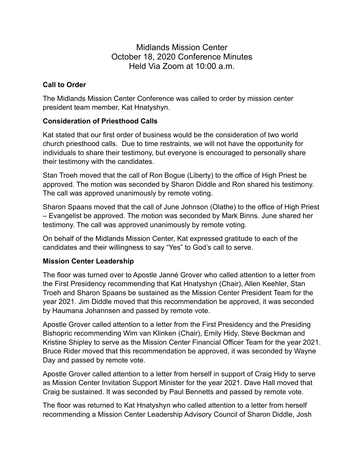# Midlands Mission Center October 18, 2020 Conference Minutes Held Via Zoom at 10:00 a.m.

## **Call to Order**

The Midlands Mission Center Conference was called to order by mission center president team member, Kat Hnatyshyn.

## **Consideration of Priesthood Calls**

Kat stated that our first order of business would be the consideration of two world church priesthood calls. Due to time restraints, we will not have the opportunity for individuals to share their testimony, but everyone is encouraged to personally share their testimony with the candidates.

Stan Troeh moved that the call of Ron Bogue (Liberty) to the office of High Priest be approved. The motion was seconded by Sharon Diddle and Ron shared his testimony. The call was approved unanimously by remote voting.

Sharon Spaans moved that the call of June Johnson (Olathe) to the office of High Priest – Evangelist be approved. The motion was seconded by Mark Binns. June shared her testimony. The call was approved unanimously by remote voting.

On behalf of the Midlands Mission Center, Kat expressed gratitude to each of the candidates and their willingness to say "Yes" to God's call to serve.

### **Mission Center Leadership**

The floor was turned over to Apostle Janné Grover who called attention to a letter from the First Presidency recommending that Kat Hnatyshyn (Chair), Allen Keehler, Stan Troeh and Sharon Spaans be sustained as the Mission Center President Team for the year 2021. Jim Diddle moved that this recommendation be approved, it was seconded by Haumana Johannsen and passed by remote vote.

Apostle Grover called attention to a letter from the First Presidency and the Presiding Bishopric recommending Wim van Klinken (Chair), Emily Hidy, Steve Beckman and Kristine Shipley to serve as the Mission Center Financial Officer Team for the year 2021. Bruce Rider moved that this recommendation be approved, it was seconded by Wayne Day and passed by remote vote.

Apostle Grover called attention to a letter from herself in support of Craig Hidy to serve as Mission Center Invitation Support Minister for the year 2021. Dave Hall moved that Craig be sustained. It was seconded by Paul Bennetts and passed by remote vote.

The floor was returned to Kat Hnatyshyn who called attention to a letter from herself recommending a Mission Center Leadership Advisory Council of Sharon Diddle, Josh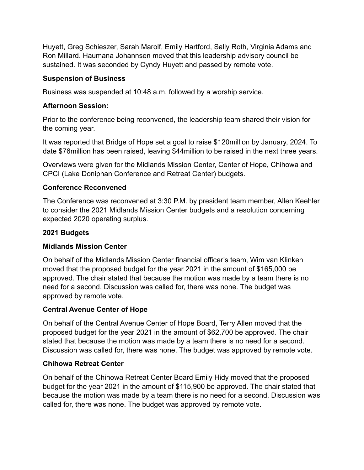Huyett, Greg Schieszer, Sarah Marolf, Emily Hartford, Sally Roth, Virginia Adams and Ron Millard. Haumana Johannsen moved that this leadership advisory council be sustained. It was seconded by Cyndy Huyett and passed by remote vote.

### **Suspension of Business**

Business was suspended at 10:48 a.m. followed by a worship service.

### **Afternoon Session:**

Prior to the conference being reconvened, the leadership team shared their vision for the coming year.

It was reported that Bridge of Hope set a goal to raise \$120million by January, 2024. To date \$76million has been raised, leaving \$44million to be raised in the next three years.

Overviews were given for the Midlands Mission Center, Center of Hope, Chihowa and CPCI (Lake Doniphan Conference and Retreat Center) budgets.

#### **Conference Reconvened**

The Conference was reconvened at 3:30 P.M. by president team member, Allen Keehler to consider the 2021 Midlands Mission Center budgets and a resolution concerning expected 2020 operating surplus.

#### **2021 Budgets**

### **Midlands Mission Center**

On behalf of the Midlands Mission Center financial officer's team, Wim van Klinken moved that the proposed budget for the year 2021 in the amount of \$165,000 be approved. The chair stated that because the motion was made by a team there is no need for a second. Discussion was called for, there was none. The budget was approved by remote vote.

### **Central Avenue Center of Hope**

On behalf of the Central Avenue Center of Hope Board, Terry Allen moved that the proposed budget for the year 2021 in the amount of \$62,700 be approved. The chair stated that because the motion was made by a team there is no need for a second. Discussion was called for, there was none. The budget was approved by remote vote.

#### **Chihowa Retreat Center**

On behalf of the Chihowa Retreat Center Board Emily Hidy moved that the proposed budget for the year 2021 in the amount of \$115,900 be approved. The chair stated that because the motion was made by a team there is no need for a second. Discussion was called for, there was none. The budget was approved by remote vote.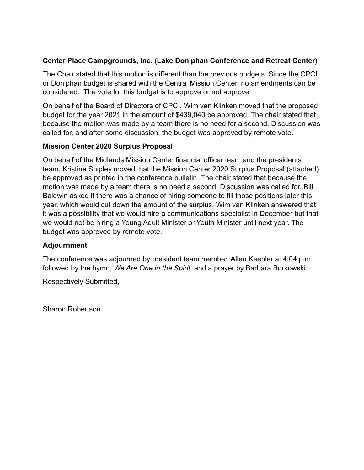## **Center Place Campgrounds, Inc. (Lake Doniphan Conference and Retreat Center)**

The Chair stated that this motion is different than the previous budgets. Since the CPCI or Doniphan budget is shared with the Central Mission Center, no amendments can be considered. The vote for this budget is to approve or not approve.

On behalf of the Board of Directors of CPCI, Wim van Klinken moved that the proposed budget for the year 2021 in the amount of \$439,040 be approved. The chair stated that because the motion was made by a team there is no need for a second. Discussion was called for, and after some discussion, the budget was approved by remote vote.

## **Mission Center 2020 Surplus Proposal**

On behalf of the Midlands Mission Center financial officer team and the presidents team, Kristine Shipley moved that the Mission Center 2020 Surplus Proposal (attached) be approved as printed in the conference bulletin. The chair stated that because the motion was made by a team there is no need a second. Discussion was called for, Bill Baldwin asked if there was a chance of hiring someone to fill those positions later this year, which would cut down the amount of the surplus. Wim van Klinken answered that it was a possibility that we would hire a communications specialist in December but that we would not be hiring a Young Adult Minister or Youth Minister until next year. The budget was approved by remote vote.

### **Adjournment**

The conference was adjourned by president team member, Allen Keehler at 4:04 p.m. followed by the hymn, *We Are One in the Spirit,* and a prayer by Barbara Borkowski

Respectively Submitted,

Sharon Robertson